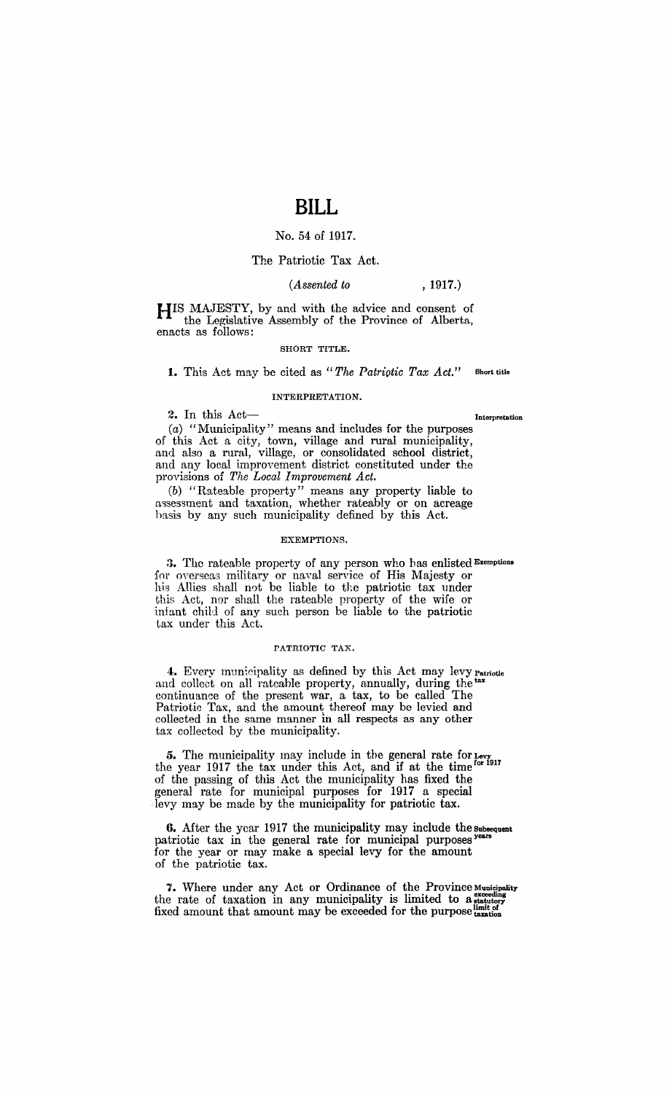## No. 54 of 1917.

## The Patriotic Tax Act.

### *(Assented to* , 1917.)

HIS MAJESTY, by and with the advice and consent of the Legislative Assembly of the Province of Alberta, enacts as follows:

#### SHORT TITLE.

1. This Act may be cited as "The Patriotic Tax Act." Short title

#### INTERPRETATION.

2. In this  $Act$   $\qquad$ 

(a) "Municipality" means and includes for the purposes of this Act a city, town, village and rural municipality, and also a rural, village, or consolidated school district, and any local improvement district constituted under the provisions of *The Local Improvement Act.* 

(b) "Rateable property" means any property liable to assessment and taxation, whether rateably or on acreage hasis by any such municipality defined by this Act.

#### EXEMPTIONS.

3. The rateable property of any person who has enlisted Exemptions for overseas military or naval service of His Majesty or his Allies shall not be liable to the patriotic tax under this Act, nor shall the rateable property of the wife or infant child of any such person be liable to the patriotic tax under this Act.

#### PATRIOTIC TAX.

4. Every municipality as defined by this Act may levy Patriotic and collect on all rateable property, annually, during the tax continuance of the present war, a tax, to be called The Patriotic Tax, and the amount thereof may be levied and collected in the same manner in all respects as any other tax collected by the municipality.

5. The municipality may include in the general rate for Levy 15. The municipality may include in the  $\frac{1}{2}$  of the time for 1917 the year 1917 the tax under this Act, and if at the time of the passing of this Act the municipality has fixed the general rate for municipal purposes for 1917 a special levy may be made by the municipality for patriotic tax.

6. After the year 1917 the municipality may include the Subsequent patriotic tax in the general rate for municipal purposes years for the year or may make a special levy for the amount of the patriotic tax.

7. Where under any Act or Ordinance of the Province Municipality the rate of taxation in any municipality is limited to a statutory fixed amount that amount may be exceeded for the purpose  $\frac{\text{limit of}}{\text{transition}}$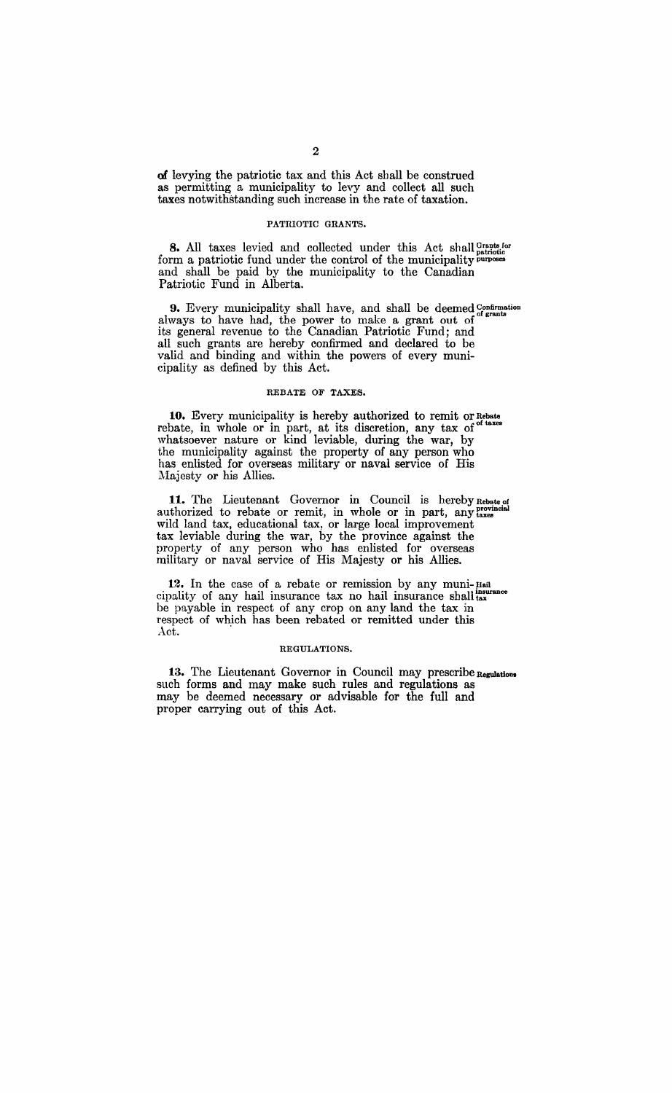of levying the patriotic tax and this Act shall be construed as permitting a municipality to levy and collect all such taxes notwithstanding such increase in the rate of taxation.

#### PATRIOTIC GRANTS.

**8.** All taxes levied and collected under this Act shall Grants for form a patriotic fund under the control of the municipality purposes and shall be paid by the municipality to the Canadian Patriotic Fund in Alberta.

**9.** Every municipality shall have, and shall be deemed Confirmation always to have had, the power to make a grant out of its general revenue to the Canadian Patriotic Fund; and all such grants are hereby confirmed and declared to be valid and binding and within the powers of every municipality as defined by this Act.

#### REBATE OF TAXES.

**10.** Every municipality is hereby authorized to remit or Rebate rebate, in whole or in part, at its discretion, any tax of <sup>of taxes</sup> whatsoever nature or kind leviable, during the war, by the municipality against the property of any person who has enlisted for overseas military or naval service of His Majesty or his Allies.

11. The Lieutenant Governor in Council is hereby Rebate of authorized to rebate or remit, in whole or in part, any taxes wild land tax, educational tax, or large local improvement tax leviable during the war, by the province against the property of any person who has enlisted for overseas military or naval service of His Majesty or his Allies.

**12.** In the case of a rebate or remission by any muni- Hail cipality of any hail insurance tax no hail insurance shall  $_{\text{tax}}$ be payable in respect of any crop on any land the tax in respect of which has been rebated or remitted under this Act.

#### REGULATIONS.

13. The Lieutenant Governor in Council may prescribe Regulations such forms and may make such rules and regulations as may be deemed necessary or advisable for the full and proper carrying out of this Act.